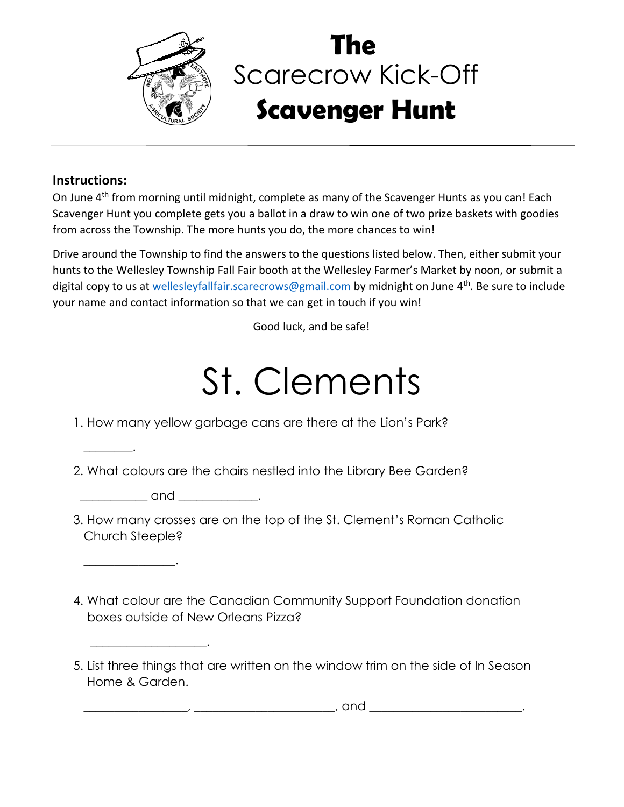

## Scarecrow Kick-Off **Scavenger Hunt The**

## **Instructions:**

 $\overline{\phantom{a}}$  .

 $\overline{\phantom{a}}$  . The contract of the contract of the contract of the contract of the contract of the contract of the contract of the contract of the contract of the contract of the contract of the contract of the contract of

\_\_\_\_\_\_\_\_\_\_\_\_\_\_\_\_\_\_\_.

On June 4<sup>th</sup> from morning until midnight, complete as many of the Scavenger Hunts as you can! Each Scavenger Hunt you complete gets you a ballot in a draw to win one of two prize baskets with goodies from across the Township. The more hunts you do, the more chances to win!

Drive around the Township to find the answers to the questions listed below. Then, either submit your hunts to the Wellesley Township Fall Fair booth at the Wellesley Farmer's Market by noon, or submit a digital copy to us at [wellesleyfallfair.scarecrows@gmail.com](mailto:wellesleyfallfair.scarecrows@gmail.com) by midnight on June 4<sup>th</sup>. Be sure to include your name and contact information so that we can get in touch if you win!

Good luck, and be safe!

## St. Clements

1. How many yellow garbage cans are there at the Lion's Park?

2. What colours are the chairs nestled into the Library Bee Garden?

 $and$ 

- 3. How many crosses are on the top of the St. Clement's Roman Catholic Church Steeple?
- 4. What colour are the Canadian Community Support Foundation donation boxes outside of New Orleans Pizza?

 $\frac{1}{2}$ ,  $\underline{\hspace{1cm}}$  , and  $\underline{\hspace{1cm}}$ 

<sup>5.</sup> List three things that are written on the window trim on the side of In Season Home & Garden.